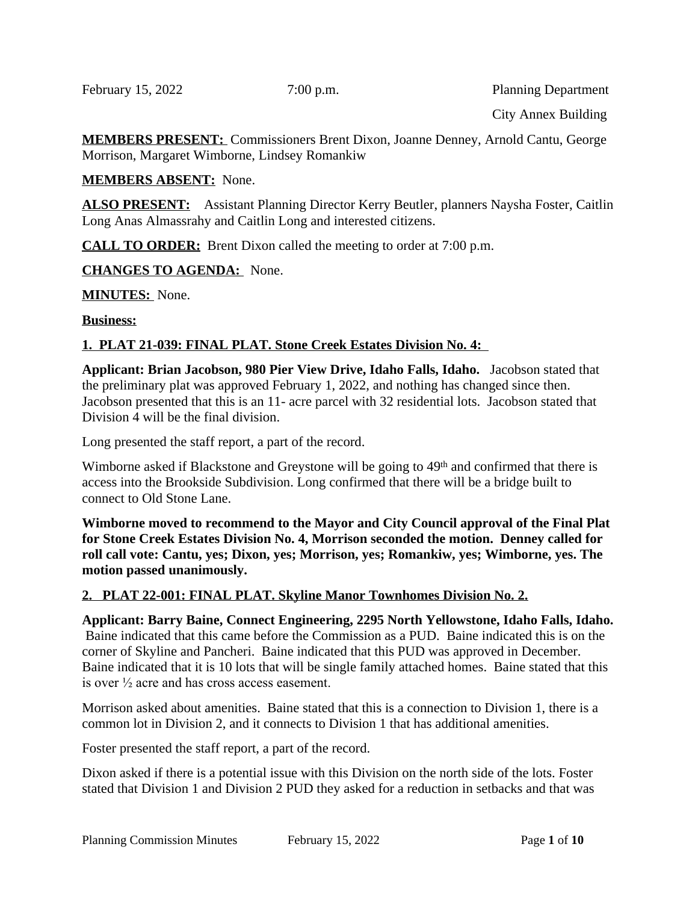February 15, 2022 7:00 p.m. Planning Department

City Annex Building

**MEMBERS PRESENT:** Commissioners Brent Dixon, Joanne Denney, Arnold Cantu, George Morrison, Margaret Wimborne, Lindsey Romankiw

## **MEMBERS ABSENT:** None.

**ALSO PRESENT:** Assistant Planning Director Kerry Beutler, planners Naysha Foster, Caitlin Long Anas Almassrahy and Caitlin Long and interested citizens.

**CALL TO ORDER:** Brent Dixon called the meeting to order at 7:00 p.m.

**CHANGES TO AGENDA:** None.

**MINUTES:** None.

#### **Business:**

## **1. PLAT 21-039: FINAL PLAT. Stone Creek Estates Division No. 4:**

**Applicant: Brian Jacobson, 980 Pier View Drive, Idaho Falls, Idaho.** Jacobson stated that the preliminary plat was approved February 1, 2022, and nothing has changed since then. Jacobson presented that this is an 11- acre parcel with 32 residential lots. Jacobson stated that Division 4 will be the final division.

Long presented the staff report, a part of the record.

Wimborne asked if Blackstone and Greystone will be going to 49<sup>th</sup> and confirmed that there is access into the Brookside Subdivision. Long confirmed that there will be a bridge built to connect to Old Stone Lane.

**Wimborne moved to recommend to the Mayor and City Council approval of the Final Plat for Stone Creek Estates Division No. 4, Morrison seconded the motion. Denney called for roll call vote: Cantu, yes; Dixon, yes; Morrison, yes; Romankiw, yes; Wimborne, yes. The motion passed unanimously.** 

## **2. PLAT 22-001: FINAL PLAT. Skyline Manor Townhomes Division No. 2.**

**Applicant: Barry Baine, Connect Engineering, 2295 North Yellowstone, Idaho Falls, Idaho.** Baine indicated that this came before the Commission as a PUD. Baine indicated this is on the corner of Skyline and Pancheri. Baine indicated that this PUD was approved in December. Baine indicated that it is 10 lots that will be single family attached homes. Baine stated that this is over ½ acre and has cross access easement.

Morrison asked about amenities. Baine stated that this is a connection to Division 1, there is a common lot in Division 2, and it connects to Division 1 that has additional amenities.

Foster presented the staff report, a part of the record.

Dixon asked if there is a potential issue with this Division on the north side of the lots. Foster stated that Division 1 and Division 2 PUD they asked for a reduction in setbacks and that was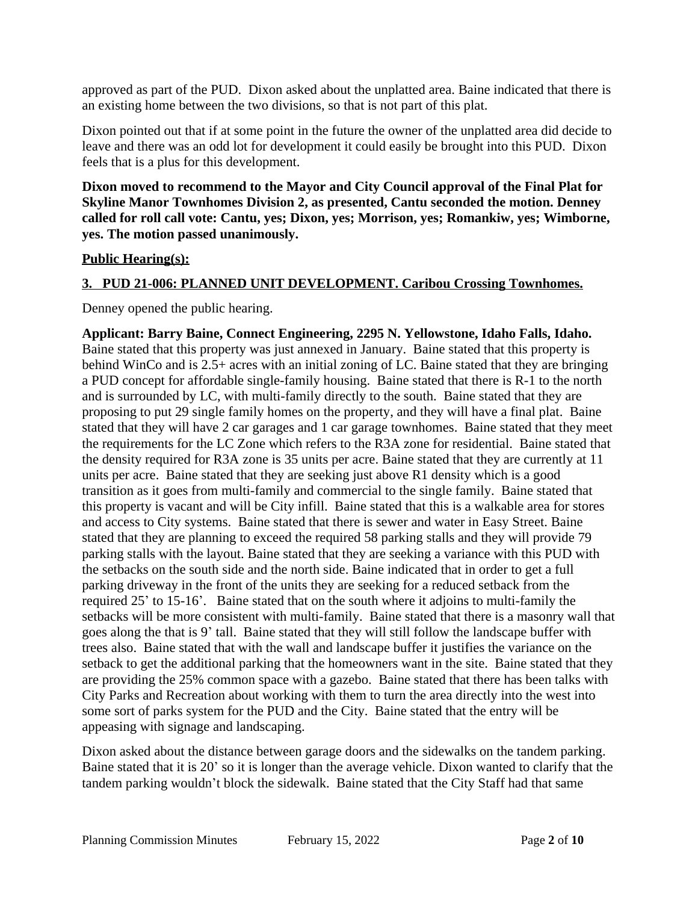approved as part of the PUD. Dixon asked about the unplatted area. Baine indicated that there is an existing home between the two divisions, so that is not part of this plat.

Dixon pointed out that if at some point in the future the owner of the unplatted area did decide to leave and there was an odd lot for development it could easily be brought into this PUD. Dixon feels that is a plus for this development.

**Dixon moved to recommend to the Mayor and City Council approval of the Final Plat for Skyline Manor Townhomes Division 2, as presented, Cantu seconded the motion. Denney called for roll call vote: Cantu, yes; Dixon, yes; Morrison, yes; Romankiw, yes; Wimborne, yes. The motion passed unanimously.** 

#### **Public Hearing(s):**

## **3. PUD 21-006: PLANNED UNIT DEVELOPMENT. Caribou Crossing Townhomes.**

Denney opened the public hearing.

**Applicant: Barry Baine, Connect Engineering, 2295 N. Yellowstone, Idaho Falls, Idaho.** Baine stated that this property was just annexed in January. Baine stated that this property is behind WinCo and is 2.5+ acres with an initial zoning of LC. Baine stated that they are bringing a PUD concept for affordable single-family housing. Baine stated that there is R-1 to the north and is surrounded by LC, with multi-family directly to the south. Baine stated that they are proposing to put 29 single family homes on the property, and they will have a final plat. Baine stated that they will have 2 car garages and 1 car garage townhomes. Baine stated that they meet the requirements for the LC Zone which refers to the R3A zone for residential. Baine stated that the density required for R3A zone is 35 units per acre. Baine stated that they are currently at 11 units per acre. Baine stated that they are seeking just above R1 density which is a good transition as it goes from multi-family and commercial to the single family. Baine stated that this property is vacant and will be City infill. Baine stated that this is a walkable area for stores and access to City systems. Baine stated that there is sewer and water in Easy Street. Baine stated that they are planning to exceed the required 58 parking stalls and they will provide 79 parking stalls with the layout. Baine stated that they are seeking a variance with this PUD with the setbacks on the south side and the north side. Baine indicated that in order to get a full parking driveway in the front of the units they are seeking for a reduced setback from the required 25' to 15-16'. Baine stated that on the south where it adjoins to multi-family the setbacks will be more consistent with multi-family. Baine stated that there is a masonry wall that goes along the that is 9' tall. Baine stated that they will still follow the landscape buffer with trees also. Baine stated that with the wall and landscape buffer it justifies the variance on the setback to get the additional parking that the homeowners want in the site. Baine stated that they are providing the 25% common space with a gazebo. Baine stated that there has been talks with City Parks and Recreation about working with them to turn the area directly into the west into some sort of parks system for the PUD and the City. Baine stated that the entry will be appeasing with signage and landscaping.

Dixon asked about the distance between garage doors and the sidewalks on the tandem parking. Baine stated that it is 20' so it is longer than the average vehicle. Dixon wanted to clarify that the tandem parking wouldn't block the sidewalk. Baine stated that the City Staff had that same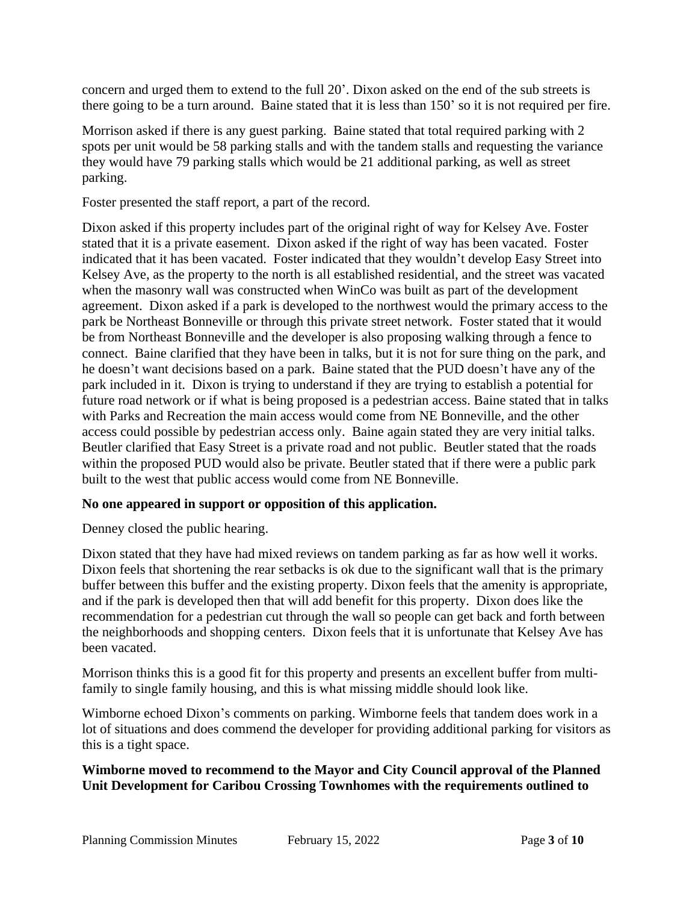concern and urged them to extend to the full 20'. Dixon asked on the end of the sub streets is there going to be a turn around. Baine stated that it is less than 150' so it is not required per fire.

Morrison asked if there is any guest parking. Baine stated that total required parking with 2 spots per unit would be 58 parking stalls and with the tandem stalls and requesting the variance they would have 79 parking stalls which would be 21 additional parking, as well as street parking.

Foster presented the staff report, a part of the record.

Dixon asked if this property includes part of the original right of way for Kelsey Ave. Foster stated that it is a private easement. Dixon asked if the right of way has been vacated. Foster indicated that it has been vacated. Foster indicated that they wouldn't develop Easy Street into Kelsey Ave, as the property to the north is all established residential, and the street was vacated when the masonry wall was constructed when WinCo was built as part of the development agreement. Dixon asked if a park is developed to the northwest would the primary access to the park be Northeast Bonneville or through this private street network. Foster stated that it would be from Northeast Bonneville and the developer is also proposing walking through a fence to connect. Baine clarified that they have been in talks, but it is not for sure thing on the park, and he doesn't want decisions based on a park. Baine stated that the PUD doesn't have any of the park included in it. Dixon is trying to understand if they are trying to establish a potential for future road network or if what is being proposed is a pedestrian access. Baine stated that in talks with Parks and Recreation the main access would come from NE Bonneville, and the other access could possible by pedestrian access only. Baine again stated they are very initial talks. Beutler clarified that Easy Street is a private road and not public. Beutler stated that the roads within the proposed PUD would also be private. Beutler stated that if there were a public park built to the west that public access would come from NE Bonneville.

## **No one appeared in support or opposition of this application.**

Denney closed the public hearing.

Dixon stated that they have had mixed reviews on tandem parking as far as how well it works. Dixon feels that shortening the rear setbacks is ok due to the significant wall that is the primary buffer between this buffer and the existing property. Dixon feels that the amenity is appropriate, and if the park is developed then that will add benefit for this property. Dixon does like the recommendation for a pedestrian cut through the wall so people can get back and forth between the neighborhoods and shopping centers. Dixon feels that it is unfortunate that Kelsey Ave has been vacated.

Morrison thinks this is a good fit for this property and presents an excellent buffer from multifamily to single family housing, and this is what missing middle should look like.

Wimborne echoed Dixon's comments on parking. Wimborne feels that tandem does work in a lot of situations and does commend the developer for providing additional parking for visitors as this is a tight space.

**Wimborne moved to recommend to the Mayor and City Council approval of the Planned Unit Development for Caribou Crossing Townhomes with the requirements outlined to**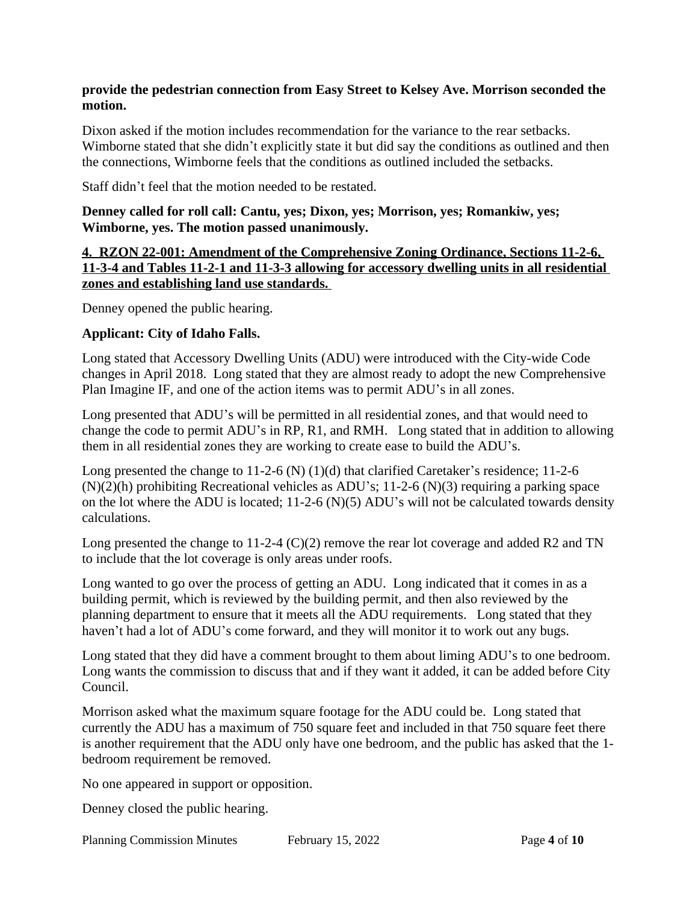#### **provide the pedestrian connection from Easy Street to Kelsey Ave. Morrison seconded the motion.**

Dixon asked if the motion includes recommendation for the variance to the rear setbacks. Wimborne stated that she didn't explicitly state it but did say the conditions as outlined and then the connections, Wimborne feels that the conditions as outlined included the setbacks.

Staff didn't feel that the motion needed to be restated.

**Denney called for roll call: Cantu, yes; Dixon, yes; Morrison, yes; Romankiw, yes; Wimborne, yes. The motion passed unanimously.**

**4. RZON 22-001: Amendment of the Comprehensive Zoning Ordinance, Sections 11-2-6, 11-3-4 and Tables 11-2-1 and 11-3-3 allowing for accessory dwelling units in all residential zones and establishing land use standards.** 

Denney opened the public hearing.

#### **Applicant: City of Idaho Falls.**

Long stated that Accessory Dwelling Units (ADU) were introduced with the City-wide Code changes in April 2018. Long stated that they are almost ready to adopt the new Comprehensive Plan Imagine IF, and one of the action items was to permit ADU's in all zones.

Long presented that ADU's will be permitted in all residential zones, and that would need to change the code to permit ADU's in RP, R1, and RMH. Long stated that in addition to allowing them in all residential zones they are working to create ease to build the ADU's.

Long presented the change to 11-2-6 (N) (1)(d) that clarified Caretaker's residence; 11-2-6 (N)(2)(h) prohibiting Recreational vehicles as ADU's; 11-2-6 (N)(3) requiring a parking space on the lot where the ADU is located; 11-2-6 (N)(5) ADU's will not be calculated towards density calculations.

Long presented the change to 11-2-4 (C)(2) remove the rear lot coverage and added R2 and TN to include that the lot coverage is only areas under roofs.

Long wanted to go over the process of getting an ADU. Long indicated that it comes in as a building permit, which is reviewed by the building permit, and then also reviewed by the planning department to ensure that it meets all the ADU requirements. Long stated that they haven't had a lot of ADU's come forward, and they will monitor it to work out any bugs.

Long stated that they did have a comment brought to them about liming ADU's to one bedroom. Long wants the commission to discuss that and if they want it added, it can be added before City Council.

Morrison asked what the maximum square footage for the ADU could be. Long stated that currently the ADU has a maximum of 750 square feet and included in that 750 square feet there is another requirement that the ADU only have one bedroom, and the public has asked that the 1 bedroom requirement be removed.

No one appeared in support or opposition.

Denney closed the public hearing.

Planning Commission Minutes February 15, 2022 Page **4** of **10**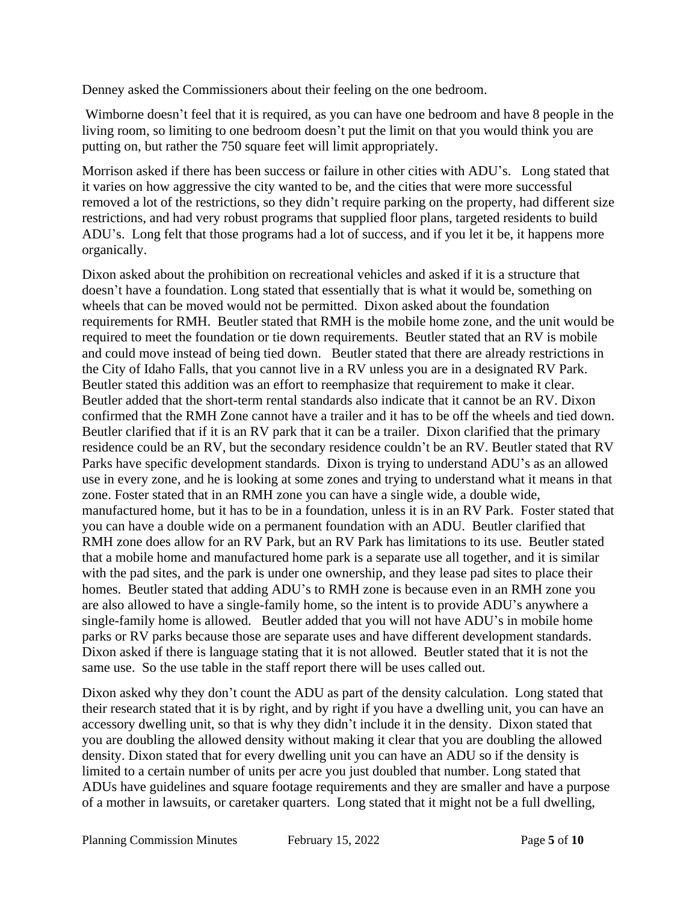Denney asked the Commissioners about their feeling on the one bedroom.

 Wimborne doesn't feel that it is required, as you can have one bedroom and have 8 people in the living room, so limiting to one bedroom doesn't put the limit on that you would think you are putting on, but rather the 750 square feet will limit appropriately.

Morrison asked if there has been success or failure in other cities with ADU's. Long stated that it varies on how aggressive the city wanted to be, and the cities that were more successful removed a lot of the restrictions, so they didn't require parking on the property, had different size restrictions, and had very robust programs that supplied floor plans, targeted residents to build ADU's. Long felt that those programs had a lot of success, and if you let it be, it happens more organically.

Dixon asked about the prohibition on recreational vehicles and asked if it is a structure that doesn't have a foundation. Long stated that essentially that is what it would be, something on wheels that can be moved would not be permitted. Dixon asked about the foundation requirements for RMH. Beutler stated that RMH is the mobile home zone, and the unit would be required to meet the foundation or tie down requirements. Beutler stated that an RV is mobile and could move instead of being tied down. Beutler stated that there are already restrictions in the City of Idaho Falls, that you cannot live in a RV unless you are in a designated RV Park. Beutler stated this addition was an effort to reemphasize that requirement to make it clear. Beutler added that the short-term rental standards also indicate that it cannot be an RV. Dixon confirmed that the RMH Zone cannot have a trailer and it has to be off the wheels and tied down. Beutler clarified that if it is an RV park that it can be a trailer. Dixon clarified that the primary residence could be an RV, but the secondary residence couldn't be an RV. Beutler stated that RV Parks have specific development standards. Dixon is trying to understand ADU's as an allowed use in every zone, and he is looking at some zones and trying to understand what it means in that zone. Foster stated that in an RMH zone you can have a single wide, a double wide, manufactured home, but it has to be in a foundation, unless it is in an RV Park. Foster stated that you can have a double wide on a permanent foundation with an ADU. Beutler clarified that RMH zone does allow for an RV Park, but an RV Park has limitations to its use. Beutler stated that a mobile home and manufactured home park is a separate use all together, and it is similar with the pad sites, and the park is under one ownership, and they lease pad sites to place their homes. Beutler stated that adding ADU's to RMH zone is because even in an RMH zone you are also allowed to have a single-family home, so the intent is to provide ADU's anywhere a single-family home is allowed. Beutler added that you will not have ADU's in mobile home parks or RV parks because those are separate uses and have different development standards. Dixon asked if there is language stating that it is not allowed. Beutler stated that it is not the same use. So the use table in the staff report there will be uses called out.

Dixon asked why they don't count the ADU as part of the density calculation. Long stated that their research stated that it is by right, and by right if you have a dwelling unit, you can have an accessory dwelling unit, so that is why they didn't include it in the density. Dixon stated that you are doubling the allowed density without making it clear that you are doubling the allowed density. Dixon stated that for every dwelling unit you can have an ADU so if the density is limited to a certain number of units per acre you just doubled that number. Long stated that ADUs have guidelines and square footage requirements and they are smaller and have a purpose of a mother in lawsuits, or caretaker quarters. Long stated that it might not be a full dwelling,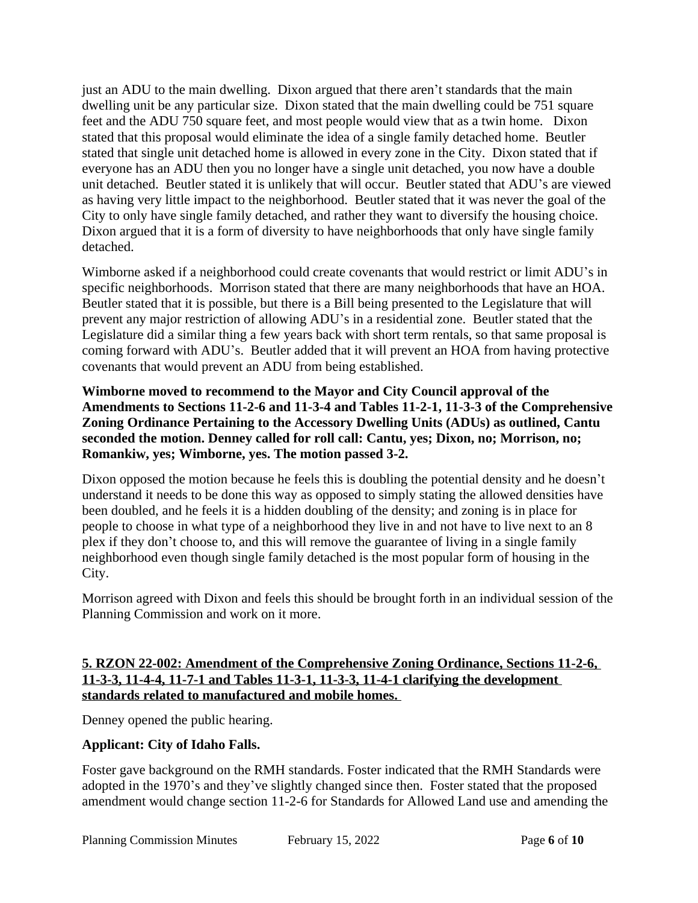just an ADU to the main dwelling. Dixon argued that there aren't standards that the main dwelling unit be any particular size. Dixon stated that the main dwelling could be 751 square feet and the ADU 750 square feet, and most people would view that as a twin home. Dixon stated that this proposal would eliminate the idea of a single family detached home. Beutler stated that single unit detached home is allowed in every zone in the City. Dixon stated that if everyone has an ADU then you no longer have a single unit detached, you now have a double unit detached. Beutler stated it is unlikely that will occur. Beutler stated that ADU's are viewed as having very little impact to the neighborhood. Beutler stated that it was never the goal of the City to only have single family detached, and rather they want to diversify the housing choice. Dixon argued that it is a form of diversity to have neighborhoods that only have single family detached.

Wimborne asked if a neighborhood could create covenants that would restrict or limit ADU's in specific neighborhoods. Morrison stated that there are many neighborhoods that have an HOA. Beutler stated that it is possible, but there is a Bill being presented to the Legislature that will prevent any major restriction of allowing ADU's in a residential zone. Beutler stated that the Legislature did a similar thing a few years back with short term rentals, so that same proposal is coming forward with ADU's. Beutler added that it will prevent an HOA from having protective covenants that would prevent an ADU from being established.

**Wimborne moved to recommend to the Mayor and City Council approval of the Amendments to Sections 11-2-6 and 11-3-4 and Tables 11-2-1, 11-3-3 of the Comprehensive Zoning Ordinance Pertaining to the Accessory Dwelling Units (ADUs) as outlined, Cantu seconded the motion. Denney called for roll call: Cantu, yes; Dixon, no; Morrison, no; Romankiw, yes; Wimborne, yes. The motion passed 3-2.** 

Dixon opposed the motion because he feels this is doubling the potential density and he doesn't understand it needs to be done this way as opposed to simply stating the allowed densities have been doubled, and he feels it is a hidden doubling of the density; and zoning is in place for people to choose in what type of a neighborhood they live in and not have to live next to an 8 plex if they don't choose to, and this will remove the guarantee of living in a single family neighborhood even though single family detached is the most popular form of housing in the City.

Morrison agreed with Dixon and feels this should be brought forth in an individual session of the Planning Commission and work on it more.

## **5. RZON 22-002: Amendment of the Comprehensive Zoning Ordinance, Sections 11-2-6, 11-3-3, 11-4-4, 11-7-1 and Tables 11-3-1, 11-3-3, 11-4-1 clarifying the development standards related to manufactured and mobile homes.**

Denney opened the public hearing.

# **Applicant: City of Idaho Falls.**

Foster gave background on the RMH standards. Foster indicated that the RMH Standards were adopted in the 1970's and they've slightly changed since then. Foster stated that the proposed amendment would change section 11-2-6 for Standards for Allowed Land use and amending the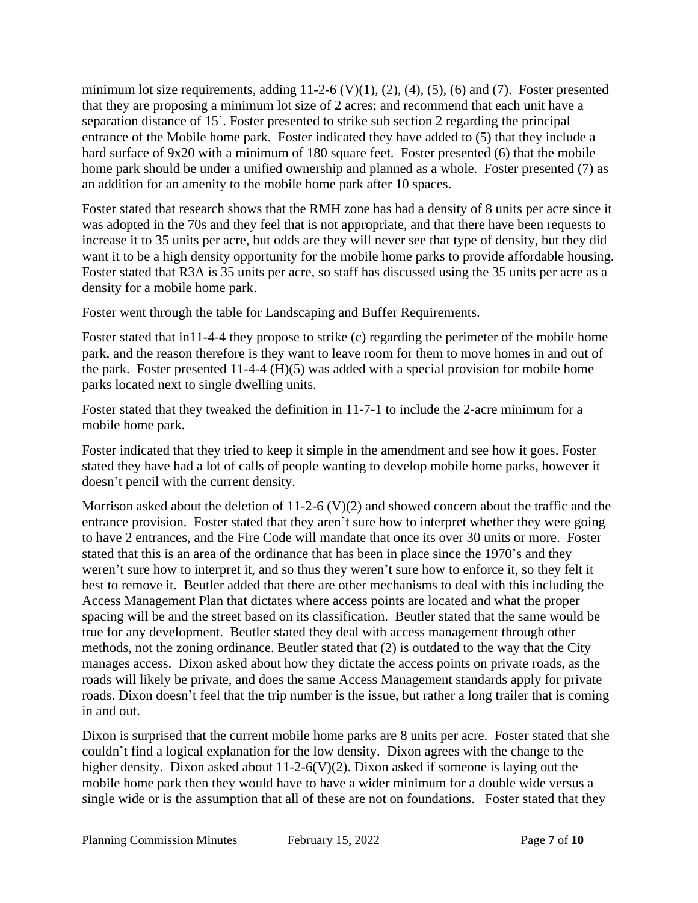minimum lot size requirements, adding  $11-2-6$  (V) $(1)$ ,  $(2)$ ,  $(4)$ ,  $(5)$ ,  $(6)$  and  $(7)$ . Foster presented that they are proposing a minimum lot size of 2 acres; and recommend that each unit have a separation distance of 15'. Foster presented to strike sub section 2 regarding the principal entrance of the Mobile home park. Foster indicated they have added to (5) that they include a hard surface of 9x20 with a minimum of 180 square feet. Foster presented (6) that the mobile home park should be under a unified ownership and planned as a whole. Foster presented (7) as an addition for an amenity to the mobile home park after 10 spaces.

Foster stated that research shows that the RMH zone has had a density of 8 units per acre since it was adopted in the 70s and they feel that is not appropriate, and that there have been requests to increase it to 35 units per acre, but odds are they will never see that type of density, but they did want it to be a high density opportunity for the mobile home parks to provide affordable housing. Foster stated that R3A is 35 units per acre, so staff has discussed using the 35 units per acre as a density for a mobile home park.

Foster went through the table for Landscaping and Buffer Requirements.

Foster stated that in11-4-4 they propose to strike (c) regarding the perimeter of the mobile home park, and the reason therefore is they want to leave room for them to move homes in and out of the park. Foster presented 11-4-4 (H)(5) was added with a special provision for mobile home parks located next to single dwelling units.

Foster stated that they tweaked the definition in 11-7-1 to include the 2-acre minimum for a mobile home park.

Foster indicated that they tried to keep it simple in the amendment and see how it goes. Foster stated they have had a lot of calls of people wanting to develop mobile home parks, however it doesn't pencil with the current density.

Morrison asked about the deletion of  $11{\text -}2{\text -}6$  (V)(2) and showed concern about the traffic and the entrance provision. Foster stated that they aren't sure how to interpret whether they were going to have 2 entrances, and the Fire Code will mandate that once its over 30 units or more. Foster stated that this is an area of the ordinance that has been in place since the 1970's and they weren't sure how to interpret it, and so thus they weren't sure how to enforce it, so they felt it best to remove it. Beutler added that there are other mechanisms to deal with this including the Access Management Plan that dictates where access points are located and what the proper spacing will be and the street based on its classification. Beutler stated that the same would be true for any development. Beutler stated they deal with access management through other methods, not the zoning ordinance. Beutler stated that (2) is outdated to the way that the City manages access. Dixon asked about how they dictate the access points on private roads, as the roads will likely be private, and does the same Access Management standards apply for private roads. Dixon doesn't feel that the trip number is the issue, but rather a long trailer that is coming in and out.

Dixon is surprised that the current mobile home parks are 8 units per acre. Foster stated that she couldn't find a logical explanation for the low density. Dixon agrees with the change to the higher density. Dixon asked about 11-2-6(V)(2). Dixon asked if someone is laying out the mobile home park then they would have to have a wider minimum for a double wide versus a single wide or is the assumption that all of these are not on foundations. Foster stated that they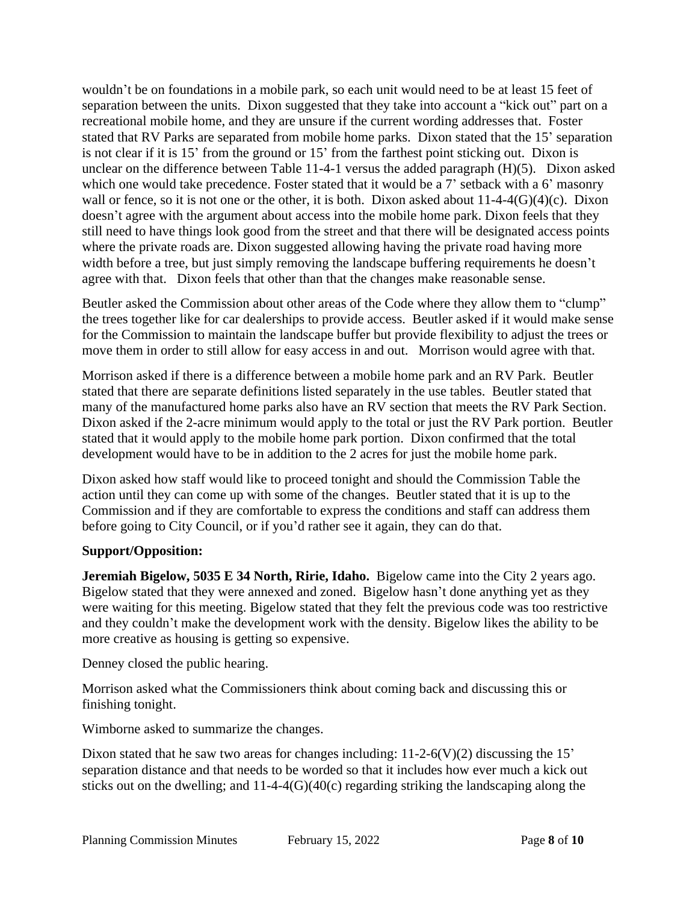wouldn't be on foundations in a mobile park, so each unit would need to be at least 15 feet of separation between the units. Dixon suggested that they take into account a "kick out" part on a recreational mobile home, and they are unsure if the current wording addresses that. Foster stated that RV Parks are separated from mobile home parks. Dixon stated that the 15' separation is not clear if it is 15' from the ground or 15' from the farthest point sticking out. Dixon is unclear on the difference between Table 11-4-1 versus the added paragraph (H)(5). Dixon asked which one would take precedence. Foster stated that it would be a 7' setback with a 6' masonry wall or fence, so it is not one or the other, it is both. Dixon asked about  $11-4-4(G)(4)(c)$ . Dixon doesn't agree with the argument about access into the mobile home park. Dixon feels that they still need to have things look good from the street and that there will be designated access points where the private roads are. Dixon suggested allowing having the private road having more width before a tree, but just simply removing the landscape buffering requirements he doesn't agree with that. Dixon feels that other than that the changes make reasonable sense.

Beutler asked the Commission about other areas of the Code where they allow them to "clump" the trees together like for car dealerships to provide access. Beutler asked if it would make sense for the Commission to maintain the landscape buffer but provide flexibility to adjust the trees or move them in order to still allow for easy access in and out. Morrison would agree with that.

Morrison asked if there is a difference between a mobile home park and an RV Park. Beutler stated that there are separate definitions listed separately in the use tables. Beutler stated that many of the manufactured home parks also have an RV section that meets the RV Park Section. Dixon asked if the 2-acre minimum would apply to the total or just the RV Park portion. Beutler stated that it would apply to the mobile home park portion. Dixon confirmed that the total development would have to be in addition to the 2 acres for just the mobile home park.

Dixon asked how staff would like to proceed tonight and should the Commission Table the action until they can come up with some of the changes. Beutler stated that it is up to the Commission and if they are comfortable to express the conditions and staff can address them before going to City Council, or if you'd rather see it again, they can do that.

## **Support/Opposition:**

**Jeremiah Bigelow, 5035 E 34 North, Ririe, Idaho.** Bigelow came into the City 2 years ago. Bigelow stated that they were annexed and zoned. Bigelow hasn't done anything yet as they were waiting for this meeting. Bigelow stated that they felt the previous code was too restrictive and they couldn't make the development work with the density. Bigelow likes the ability to be more creative as housing is getting so expensive.

Denney closed the public hearing.

Morrison asked what the Commissioners think about coming back and discussing this or finishing tonight.

Wimborne asked to summarize the changes.

Dixon stated that he saw two areas for changes including:  $11-2-6(V)(2)$  discussing the 15' separation distance and that needs to be worded so that it includes how ever much a kick out sticks out on the dwelling; and  $11-4-4(G)(40(c)$  regarding striking the landscaping along the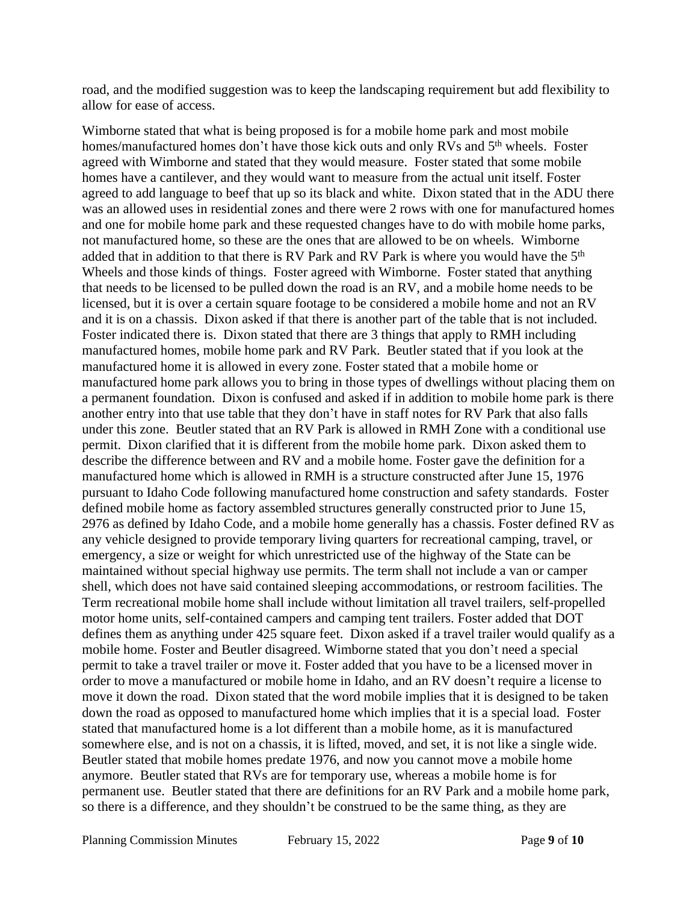road, and the modified suggestion was to keep the landscaping requirement but add flexibility to allow for ease of access.

Wimborne stated that what is being proposed is for a mobile home park and most mobile homes/manufactured homes don't have those kick outs and only RVs and 5<sup>th</sup> wheels. Foster agreed with Wimborne and stated that they would measure. Foster stated that some mobile homes have a cantilever, and they would want to measure from the actual unit itself. Foster agreed to add language to beef that up so its black and white. Dixon stated that in the ADU there was an allowed uses in residential zones and there were 2 rows with one for manufactured homes and one for mobile home park and these requested changes have to do with mobile home parks, not manufactured home, so these are the ones that are allowed to be on wheels. Wimborne added that in addition to that there is RV Park and RV Park is where you would have the  $5<sup>th</sup>$ Wheels and those kinds of things. Foster agreed with Wimborne. Foster stated that anything that needs to be licensed to be pulled down the road is an RV, and a mobile home needs to be licensed, but it is over a certain square footage to be considered a mobile home and not an RV and it is on a chassis. Dixon asked if that there is another part of the table that is not included. Foster indicated there is. Dixon stated that there are 3 things that apply to RMH including manufactured homes, mobile home park and RV Park. Beutler stated that if you look at the manufactured home it is allowed in every zone. Foster stated that a mobile home or manufactured home park allows you to bring in those types of dwellings without placing them on a permanent foundation. Dixon is confused and asked if in addition to mobile home park is there another entry into that use table that they don't have in staff notes for RV Park that also falls under this zone. Beutler stated that an RV Park is allowed in RMH Zone with a conditional use permit. Dixon clarified that it is different from the mobile home park. Dixon asked them to describe the difference between and RV and a mobile home. Foster gave the definition for a manufactured home which is allowed in RMH is a structure constructed after June 15, 1976 pursuant to Idaho Code following manufactured home construction and safety standards. Foster defined mobile home as factory assembled structures generally constructed prior to June 15, 2976 as defined by Idaho Code, and a mobile home generally has a chassis. Foster defined RV as any vehicle designed to provide temporary living quarters for recreational camping, travel, or emergency, a size or weight for which unrestricted use of the highway of the State can be maintained without special highway use permits. The term shall not include a van or camper shell, which does not have said contained sleeping accommodations, or restroom facilities. The Term recreational mobile home shall include without limitation all travel trailers, self-propelled motor home units, self-contained campers and camping tent trailers. Foster added that DOT defines them as anything under 425 square feet. Dixon asked if a travel trailer would qualify as a mobile home. Foster and Beutler disagreed. Wimborne stated that you don't need a special permit to take a travel trailer or move it. Foster added that you have to be a licensed mover in order to move a manufactured or mobile home in Idaho, and an RV doesn't require a license to move it down the road. Dixon stated that the word mobile implies that it is designed to be taken down the road as opposed to manufactured home which implies that it is a special load. Foster stated that manufactured home is a lot different than a mobile home, as it is manufactured somewhere else, and is not on a chassis, it is lifted, moved, and set, it is not like a single wide. Beutler stated that mobile homes predate 1976, and now you cannot move a mobile home anymore. Beutler stated that RVs are for temporary use, whereas a mobile home is for permanent use. Beutler stated that there are definitions for an RV Park and a mobile home park, so there is a difference, and they shouldn't be construed to be the same thing, as they are